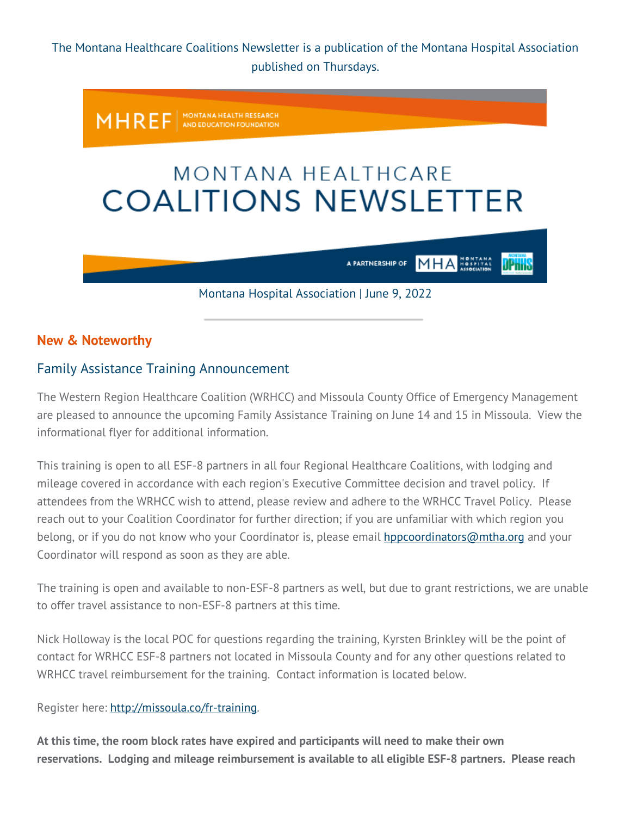The Montana Healthcare Coalitions Newsletter is a publication of the Montana Hospital Association published on Thursdays.



## **New & Noteworthy**

## Family Assistance Training Announcement

The Western Region Healthcare Coalition (WRHCC) and Missoula County Office of Emergency Management are pleased to announce the upcoming Family Assistance Training on June 14 and 15 in Missoula. View the informational flyer for additional information.

This training is open to all ESF-8 partners in all four Regional Healthcare Coalitions, with lodging and mileage covered in accordance with each region's Executive Committee decision and travel policy. If attendees from the WRHCC wish to attend, please review and adhere to the WRHCC Travel Policy. Please reach out to your Coalition Coordinator for further direction; if you are unfamiliar with which region you belong, or if you do not know who your Coordinator is, please email **[hppcoordinators@mtha.org](mailto:hppcoordinators@mtha.org)** and your Coordinator will respond as soon as they are able.

The training is open and available to non-ESF-8 partners as well, but due to grant restrictions, we are unable to offer travel assistance to non-ESF-8 partners at this time.

Nick Holloway is the local POC for questions regarding the training, Kyrsten Brinkley will be the point of contact for WRHCC ESF-8 partners not located in Missoula County and for any other questions related to WRHCC travel reimbursement for the training. Contact information is located below.

Register here: [http://missoula.co/fr-training.](https://montanahospitalassociation.createsend1.com/t/t-i-qhtihtl-l-r/)

**At this time, the room block rates have expired and participants will need to make their own reservations. Lodging and mileage reimbursement is available to all eligible ESF-8 partners. Please reach**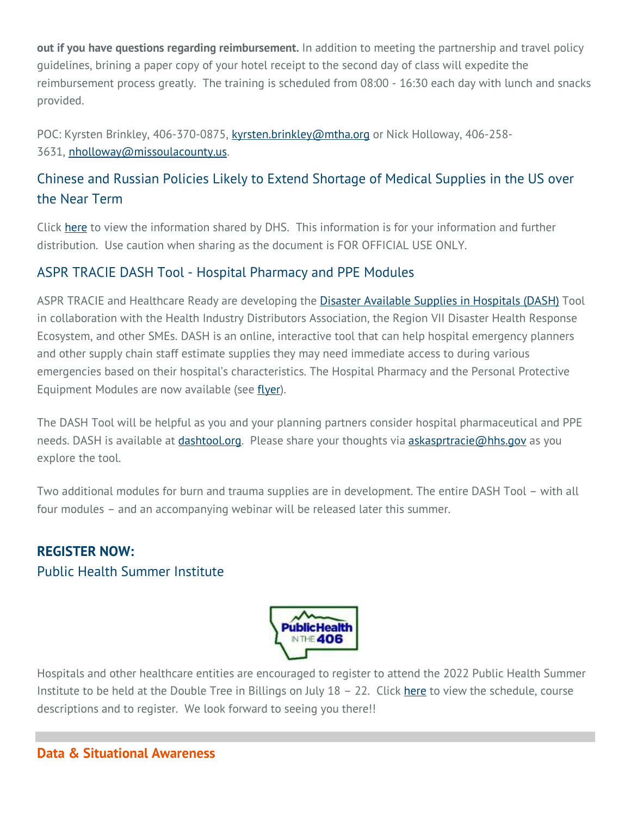**out if you have questions regarding reimbursement.** In addition to meeting the partnership and travel policy guidelines, brining a paper copy of your hotel receipt to the second day of class will expedite the reimbursement process greatly. The training is scheduled from 08:00 - 16:30 each day with lunch and snacks provided.

POC: Kyrsten Brinkley, 406-370-0875, [kyrsten.brinkley@mtha.org](mailto:kyrsten.brinkley@mtha.org) or Nick Holloway, 406-258-3631, [nholloway@missoulacounty.us.](mailto:nholloway@missoulacounty.us)

# Chinese and Russian Policies Likely to Extend Shortage of Medical Supplies in the US over the Near Term

Click [here](https://montanahospitalassociation.createsend1.com/t/t-i-qhtihtl-l-y/) to view the information shared by DHS. This information is for your information and further distribution. Use caution when sharing as the document is FOR OFFICIAL USE ONLY.

## ASPR TRACIE DASH Tool - Hospital Pharmacy and PPE Modules

ASPR TRACIE and Healthcare Ready are developing the [Disaster Available Supplies in Hospitals \(DASH\)](https://montanahospitalassociation.createsend1.com/t/t-i-qhtihtl-l-j/) Tool in collaboration with the Health Industry Distributors Association, the Region VII Disaster Health Response Ecosystem, and other SMEs. DASH is an online, interactive tool that can help hospital emergency planners and other supply chain staff estimate supplies they may need immediate access to during various emergencies based on their hospital's characteristics. The Hospital Pharmacy and the Personal Protective Equipment Modules are now available (see [flyer\)](https://montanahospitalassociation.createsend1.com/t/t-i-qhtihtl-l-t/).

The DASH Tool will be helpful as you and your planning partners consider hospital pharmaceutical and PPE needs. DASH is available at *dashtool.org*. Please share your thoughts via **[askasprtracie@hhs.gov](mailto:askasprtracie@hhs.gov)** as you explore the tool.

Two additional modules for burn and trauma supplies are in development. The entire DASH Tool – with all four modules – and an accompanying webinar will be released later this summer.

# **REGISTER NOW:** Public Health Summer Institute



Hospitals and other healthcare entities are encouraged to register to attend the 2022 Public Health Summer Institute to be held at the Double Tree in Billings on July 18 - 22. Click [here](https://montanahospitalassociation.createsend1.com/t/t-i-qhtihtl-l-d/) to view the schedule, course descriptions and to register. We look forward to seeing you there!!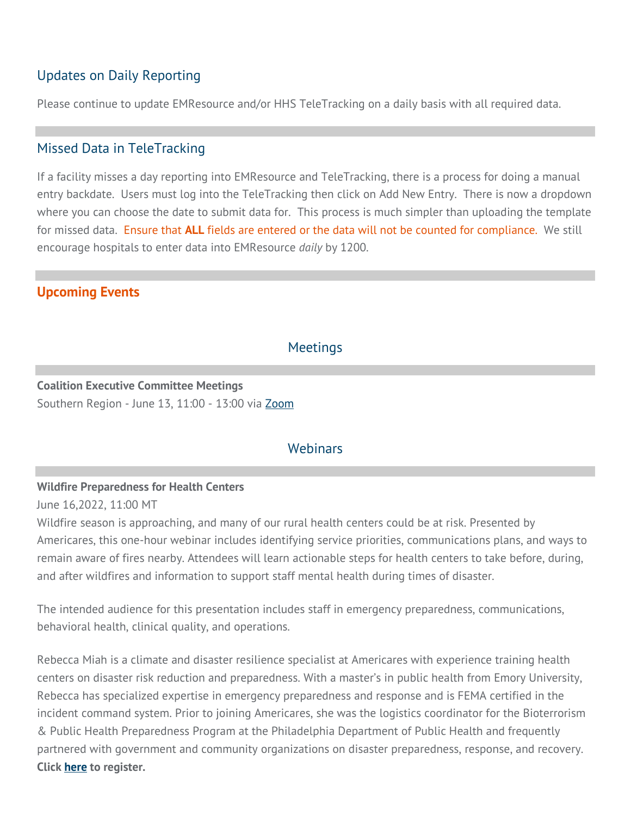# Updates on Daily Reporting

Please continue to update EMResource and/or HHS TeleTracking on a daily basis with all required data.

## Missed Data in TeleTracking

If a facility misses a day reporting into EMResource and TeleTracking, there is a process for doing a manual entry backdate. Users must log into the TeleTracking then click on Add New Entry. There is now a dropdown where you can choose the date to submit data for. This process is much simpler than uploading the template for missed data. Ensure that **ALL** fields are entered or the data will not be counted for compliance. We still encourage hospitals to enter data into EMResource *daily* by 1200.

## **Upcoming Events**

### **Meetings**

### **Coalition Executive Committee Meetings** Southern Region - June 13, 11:00 - 13:00 via [Zoom](https://montanahospitalassociation.createsend1.com/t/t-i-qhtihtl-l-h/)

### **Webinars**

### **Wildfire Preparedness for Health Centers**

June 16,2022, 11:00 MT

Wildfire season is approaching, and many of our rural health centers could be at risk. Presented by Americares, this one-hour webinar includes identifying service priorities, communications plans, and ways to remain aware of fires nearby. Attendees will learn actionable steps for health centers to take before, during, and after wildfires and information to support staff mental health during times of disaster.

The intended audience for this presentation includes staff in emergency preparedness, communications, behavioral health, clinical quality, and operations.

Rebecca Miah is a climate and disaster resilience specialist at Americares with experience training health centers on disaster risk reduction and preparedness. With a master's in public health from Emory University, Rebecca has specialized expertise in emergency preparedness and response and is FEMA certified in the incident command system. Prior to joining Americares, she was the logistics coordinator for the Bioterrorism & Public Health Preparedness Program at the Philadelphia Department of Public Health and frequently partnered with government and community organizations on disaster preparedness, response, and recovery. **Click [here](https://montanahospitalassociation.createsend1.com/t/t-i-qhtihtl-l-k/) to register.**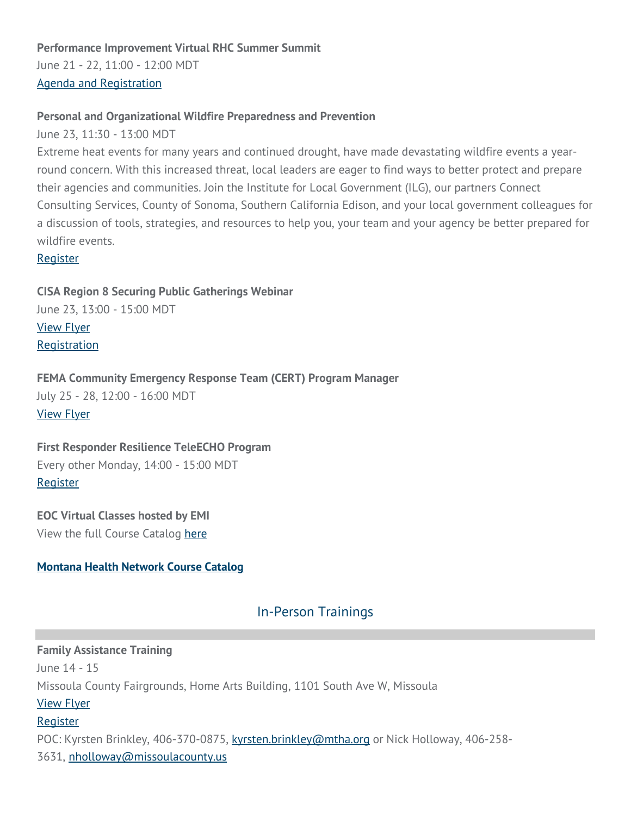### **Performance Improvement Virtual RHC Summer Summit**

June 21 - 22, 11:00 - 12:00 MDT [Agenda and Registration](https://montanahospitalassociation.createsend1.com/t/t-i-qhtihtl-l-u/)

#### **Personal and Organizational Wildfire Preparedness and Prevention**

June 23, 11:30 - 13:00 MDT

Extreme heat events for many years and continued drought, have made devastating wildfire events a yearround concern. With this increased threat, local leaders are eager to find ways to better protect and prepare their agencies and communities. Join the Institute for Local Government (ILG), our partners Connect Consulting Services, County of Sonoma, Southern California Edison, and your local government colleagues for a discussion of tools, strategies, and resources to help you, your team and your agency be better prepared for wildfire events.

[Register](https://montanahospitalassociation.createsend1.com/t/t-i-qhtihtl-l-o/)

**CISA Region 8 Securing Public Gatherings Webinar** June 23, 13:00 - 15:00 MDT [View Flyer](https://montanahospitalassociation.createsend1.com/t/t-i-qhtihtl-l-b/) **[Registration](https://montanahospitalassociation.createsend1.com/t/t-i-qhtihtl-l-n/)** 

**FEMA Community Emergency Response Team (CERT) Program Manager** July 25 - 28, 12:00 - 16:00 MDT [View Flyer](https://montanahospitalassociation.createsend1.com/t/t-i-qhtihtl-l-p/)

# **First Responder Resilience TeleECHO Program** Every other Monday, 14:00 - 15:00 MDT

[Register](https://montanahospitalassociation.createsend1.com/t/t-i-qhtihtl-l-x/)

**EOC Virtual Classes hosted by EMI** View the full Course Catalog [here](https://montanahospitalassociation.createsend1.com/t/t-i-qhtihtl-l-m/)

### **[Montana Health Network Course Catalog](https://montanahospitalassociation.createsend1.com/t/t-i-qhtihtl-l-c/)**

## In-Person Trainings

**Family Assistance Training** June 14 - 15 Missoula County Fairgrounds, Home Arts Building, 1101 South Ave W, Missoula [View Flyer](https://montanahospitalassociation.createsend1.com/t/t-i-qhtihtl-l-q/) [Register](https://montanahospitalassociation.createsend1.com/t/t-i-qhtihtl-l-a/) POC: Kyrsten Brinkley, 406-370-0875, [kyrsten.brinkley@mtha.org](mailto:kyrsten.brinkley@mtha.org) or Nick Holloway, 406-258-3631, [nholloway@missoulacounty.us](mailto:nholloway@missoulacounty.us)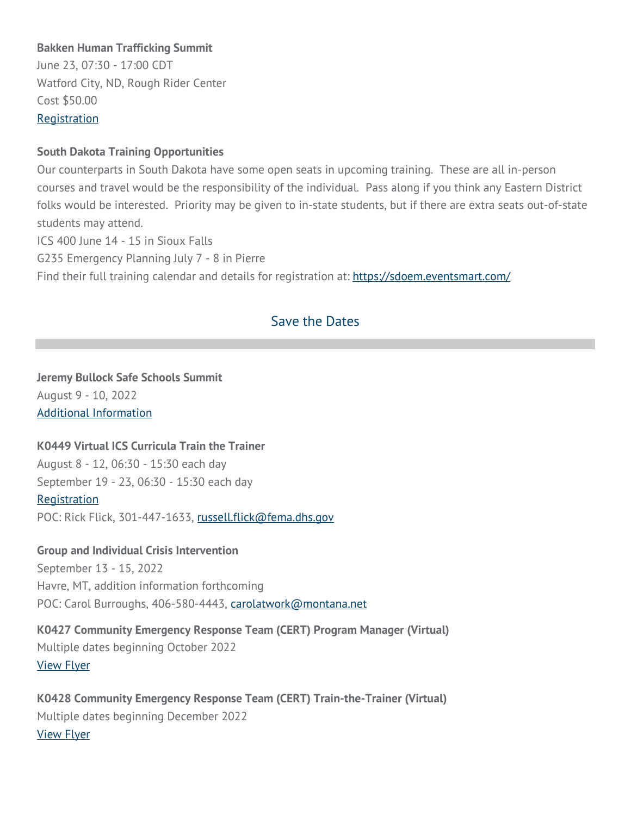### **Bakken Human Trafficking Summit**

June 23, 07:30 - 17:00 CDT Watford City, ND, Rough Rider Center Cost \$50.00 **[Registration](https://montanahospitalassociation.createsend1.com/t/t-i-qhtihtl-l-g/)** 

#### **South Dakota Training Opportunities**

Our counterparts in South Dakota have some open seats in upcoming training. These are all in-person courses and travel would be the responsibility of the individual. Pass along if you think any Eastern District folks would be interested. Priority may be given to in-state students, but if there are extra seats out-of-state students may attend. ICS 400 June 14 - 15 in Sioux Falls G235 Emergency Planning July 7 - 8 in Pierre Find their full training calendar and details for registration at: [https://sdoem.eventsmart.com/](https://montanahospitalassociation.createsend1.com/t/t-i-qhtihtl-l-w/)

## Save the Dates

# **Jeremy Bullock Safe Schools Summit** August 9 - 10, 2022

[Additional Information](https://montanahospitalassociation.createsend1.com/t/t-i-qhtihtl-l-yd/)

### **K0449 Virtual ICS Curricula Train the Trainer**

August 8 - 12, 06:30 - 15:30 each day September 19 - 23, 06:30 - 15:30 each day [Registration](https://montanahospitalassociation.createsend1.com/t/t-i-qhtihtl-l-yh/) POC: Rick Flick, 301-447-1633, [russell.flick@fema.dhs.gov](mailto:russell.flick@fema.dhs.gov)

#### **Group and Individual Crisis Intervention**

September 13 - 15, 2022 Havre, MT, addition information forthcoming POC: Carol Burroughs, 406-580-4443, [carolatwork@montana.net](mailto:carolatwork@montana.net)

## **K0427 Community Emergency Response Team (CERT) Program Manager (Virtual)** Multiple dates beginning October 2022 [View Flyer](https://montanahospitalassociation.createsend1.com/t/t-i-qhtihtl-l-yk/)

**K0428 Community Emergency Response Team (CERT) Train-the-Trainer (Virtual)** Multiple dates beginning December 2022 [View Flyer](https://montanahospitalassociation.createsend1.com/t/t-i-qhtihtl-l-yu/)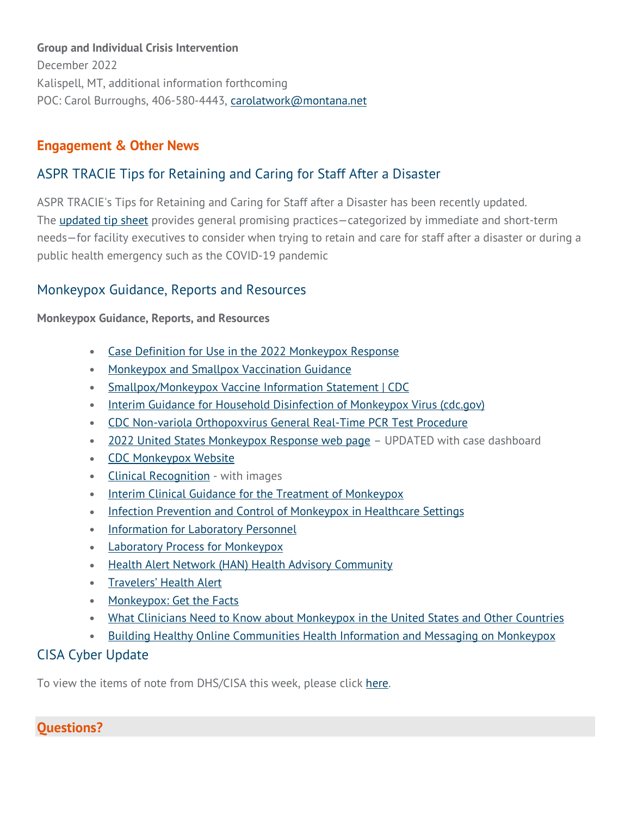### **Group and Individual Crisis Intervention**

December 2022 Kalispell, MT, additional information forthcoming POC: Carol Burroughs, 406-580-4443, [carolatwork@montana.net](mailto:carolatwork@montana.net)

# **Engagement & Other News**

# ASPR TRACIE Tips for Retaining and Caring for Staff After a Disaster

ASPR TRACIE's Tips for Retaining and Caring for Staff after a Disaster has been recently updated. The **[updated tip sheet](https://montanahospitalassociation.createsend1.com/t/t-i-qhtihtl-l-jl/)** provides general promising practices-categorized by immediate and short-term needs—for facility executives to consider when trying to retain and care for staff after a disaster or during a public health emergency such as the COVID-19 pandemic

## Monkeypox Guidance, Reports and Resources

**Monkeypox Guidance, Reports, and Resources**

- [Case Definition for Use in the 2022 Monkeypox Response](https://montanahospitalassociation.createsend1.com/t/t-i-qhtihtl-l-jr/)
- [Monkeypox and Smallpox Vaccination Guidance](https://montanahospitalassociation.createsend1.com/t/t-i-qhtihtl-l-jy/)
- [Smallpox/Monkeypox Vaccine Information Statement | CDC](https://montanahospitalassociation.createsend1.com/t/t-i-qhtihtl-l-jj/)
- [Interim Guidance for Household Disinfection of Monkeypox Virus \(cdc.gov\)](https://montanahospitalassociation.createsend1.com/t/t-i-qhtihtl-l-jt/)
- [CDC Non-variola Orthopoxvirus General Real-Time PCR Test Procedure](https://montanahospitalassociation.createsend1.com/t/t-i-qhtihtl-l-ji/)
- [2022 United States Monkeypox Response web page](https://montanahospitalassociation.createsend1.com/t/t-i-qhtihtl-l-jd/) UPDATED with case dashboard
- [CDC Monkeypox Website](https://montanahospitalassociation.createsend1.com/t/t-i-qhtihtl-l-jh/)
- [Clinical Recognition](https://montanahospitalassociation.createsend1.com/t/t-i-qhtihtl-l-jk/) with images
- [Interim Clinical Guidance for the Treatment of Monkeypox](https://montanahospitalassociation.createsend1.com/t/t-i-qhtihtl-l-ju/)
- [Infection Prevention and Control of Monkeypox in Healthcare Settings](https://montanahospitalassociation.createsend1.com/t/t-i-qhtihtl-l-tl/)
- [Information for Laboratory Personnel](https://montanahospitalassociation.createsend1.com/t/t-i-qhtihtl-l-tr/)
- [Laboratory Process for Monkeypox](https://montanahospitalassociation.createsend1.com/t/t-i-qhtihtl-l-ty/)
- [Health Alert Network \(HAN\) Health Advisory Community](https://montanahospitalassociation.createsend1.com/t/t-i-qhtihtl-l-tj/)
- [Travelers' Health Alert](https://montanahospitalassociation.createsend1.com/t/t-i-qhtihtl-l-tt/)
- [Monkeypox: Get the Facts](https://montanahospitalassociation.createsend1.com/t/t-i-qhtihtl-l-ti/)
- [What Clinicians Need to Know about Monkeypox in the United States and Other Countries](https://montanahospitalassociation.createsend1.com/t/t-i-qhtihtl-l-td/)
- [Building Healthy Online Communities Health Information and Messaging on Monkeypox](https://montanahospitalassociation.createsend1.com/t/t-i-qhtihtl-l-th/)

# CISA Cyber Update

To view the items of note from DHS/CISA this week, please click [here.](https://montanahospitalassociation.createsend1.com/t/t-i-qhtihtl-l-tk/)

# **Questions?**